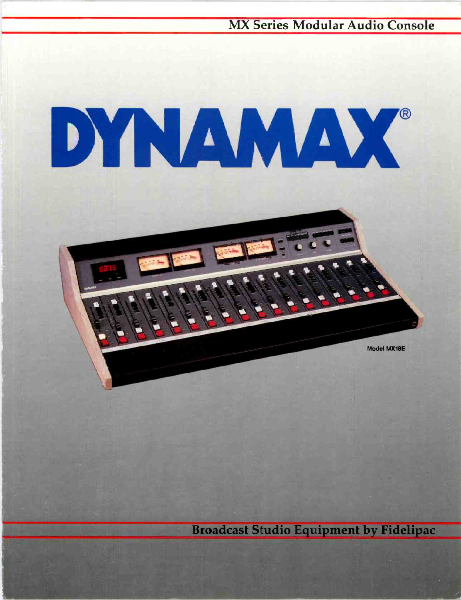**MX Series Modular Audio Console** 

# DYNAMAX®

**Broadcast Studio Equipment by Fidelipac** 

Model MX18E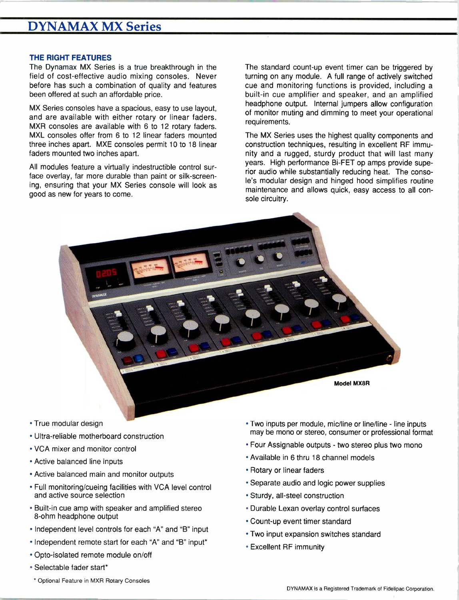# DYNAMAX MX Series

#### THE RIGHT FEATURES

The Dynamax MX Series is a true breakthrough in the field of cost-effective audio mixing consoles. Never before has such a combination of quality and features been offered at such an affordable price.

MX Series consoles have a spacious, easy to use layout, and are available with either rotary or linear faders. MXR consoles are available with 6 to 12 rotary faders. MXL consoles offer from 6 to 12 linear faders mounted three inches apart. MXE consoles permit 10 to 18 linear faders mounted two inches apart.

All modules feature a virtually indestructible control surface overlay, far more durable than paint or silk-screening, ensuring that your MX Series console will look as good as new for years to come.

The standard count-up event timer can be triggered by turning on any module. A full range of actively switched cue and monitoring functions is provided, including a built-in cue amplifier and speaker, and an amplified headphone output. Internal jumpers allow configuration of monitor muting and dimming to meet your operational requirements.

The MX Series uses the highest quality components and construction techniques, resulting in excellent RF immunity and a rugged, sturdy product that will last many years. High performance Bi-FET op amps provide superior audio while substantially reducing heat. The console's modular design and hinged hood simplifies routine maintenance and allows quick, easy access to all console circuitry.



- True modular design
- Ultra -reliable motherboard construction
- VCA mixer and monitor control
- Active balanced line inputs
- Active balanced main and monitor outputs
- Full monitoring/cueing facilities with VCA level control and active source selection
- Built-in cue amp with speaker and amplified stereo 8 -ohm headphone output
- Independent level controls for each "A" and "B" input
- Independent remote start for each "A" and "B" input\*
- Opto-isolated remote module on/off
- Selectable fader start\*
- \* Optional Feature in MXR Rotary Consoles
- Two inputs per module, mic/line or line/line line inputs may be mono or stereo, consumer or professional format
- Four Assignable outputs two stereo plus two mono
- Available in 6 thru 18 channel models
- Rotary or linear faders
- Separate audio and logic power supplies
- Sturdy, all -steel construction
- Durable Lexan overlay control surfaces
- Count-up event timer standard
- Two input expansion switches standard
- Excellent RF immunity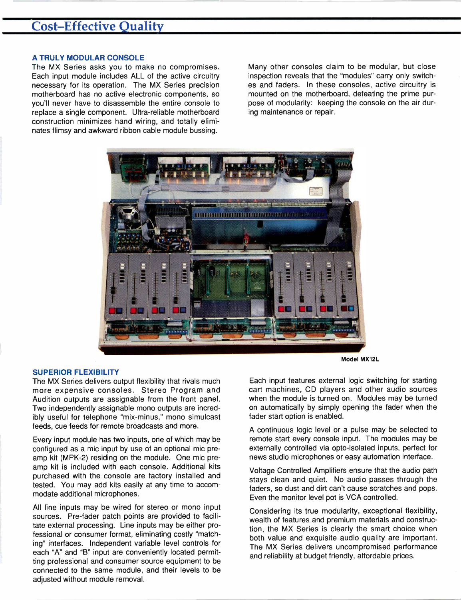#### A TRULY MODULAR CONSOLE

The MX Series asks you to make no compromises. Each input module includes ALL of the active circuitry necessary for its operation. The MX Series precision motherboard has no active electronic components, so you'll never have to disassemble the entire console to replace a single component. Ultra-reliable motherboard construction minimizes hand wiring, and totally eliminates flimsy and awkward ribbon cable module bussing.

Many other consoles claim to be modular, but close inspection reveals that the "modules" carry only switches and faders. In these consoles, active circuitry is mounted on the motherboard, defeating the prime purpose of modularity: keeping the console on the air during maintenance or repair.



#### Model MX12L

#### SUPERIOR FLEXIBILITY

The MX Series delivers output flexibility that rivals much more expensive consoles. Stereo Program and Audition outputs are assignable from the front panel. Two independently assignable mono outputs are incredibly useful for telephone "mix -minus," mono simulcast feeds, cue feeds for remote broadcasts and more.

Every input module has two inputs, one of which may be configured as a mic input by use of an optional mic preamp kit (MPK-2) residing on the module. One mic preamp kit is included with each console. Additional kits purchased with the console are factory installed and tested. You may add kits easily at any time to accommodate additional microphones.

All line inputs may be wired for stereo or mono input sources. Pre-fader patch points are provided to facilitate external processing. Line inputs may be either professional or consumer format, eliminating costly "matching" interfaces. Independent variable level controls for each "A" and "B" input are conveniently located permitting professional and consumer source equipment to be connected to the same module, and their levels to be adjusted without module removal.

Each input features external logic switching for starting cart machines, CD players and other audio sources when the module is turned on. Modules may be turned on automatically by simply opening the fader when the fader start option is enabled.

A continuous logic level or a pulse may be selected to remote start every console input. The modules may be externally controlled via opto-isolated inputs, perfect for news studio microphones or easy automation interface.

Voltage Controlled Amplifiers ensure that the audio path stays clean and quiet. No audio passes through the faders, so dust and dirt can't cause scratches and pops. Even the monitor level pot is VCA controlled.

Considering its true modularity, exceptional flexibility, wealth of features and premium materials and construction, the MX Series is clearly the smart choice when both value and exquisite audio quality are important. The MX Series delivers uncompromised performance and reliability at budget friendly, affordable prices.